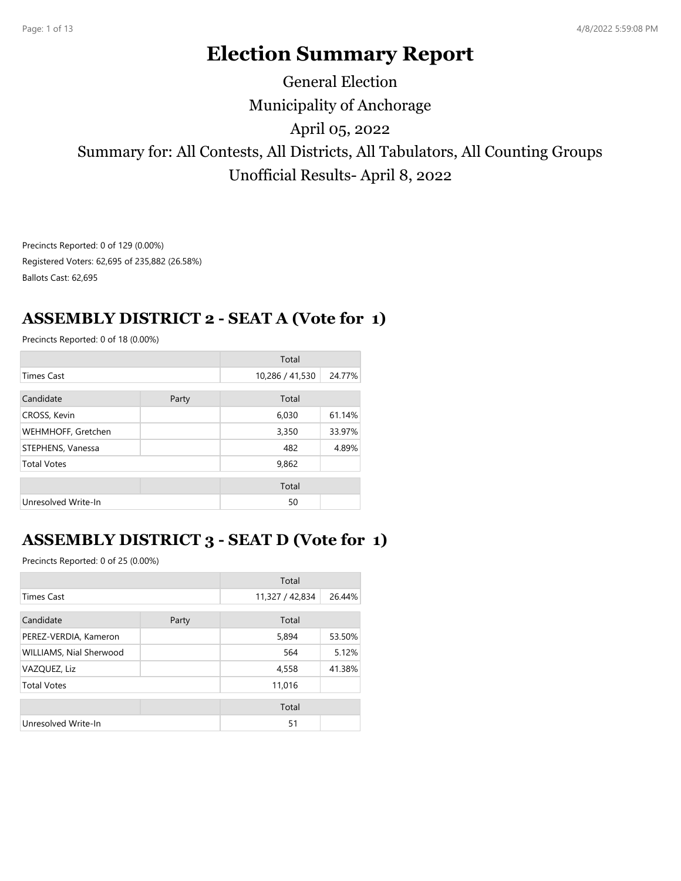# **Election Summary Report**

# Municipality of Anchorage Summary for: All Contests, All Districts, All Tabulators, All Counting Groups Unofficial Results- April 8, 2022 April 05, 2022 General Election

Precincts Reported: 0 of 129 (0.00%) Registered Voters: 62,695 of 235,882 (26.58%) Ballots Cast: 62,695

### **ASSEMBLY DISTRICT 2 - SEAT A (Vote for 1)**

Precincts Reported: 0 of 18 (0.00%)

|                     |       | Total           |        |
|---------------------|-------|-----------------|--------|
| <b>Times Cast</b>   |       | 10,286 / 41,530 | 24.77% |
| Candidate           | Party | Total           |        |
| CROSS, Kevin        |       | 6,030           | 61.14% |
| WEHMHOFF, Gretchen  |       | 3,350           | 33.97% |
| STEPHENS, Vanessa   |       | 482             | 4.89%  |
| <b>Total Votes</b>  |       | 9,862           |        |
|                     |       | Total           |        |
| Unresolved Write-In |       | 50              |        |

# **ASSEMBLY DISTRICT 3 - SEAT D (Vote for 1)**

|                         |       | Total           |        |
|-------------------------|-------|-----------------|--------|
| <b>Times Cast</b>       |       | 11,327 / 42,834 | 26.44% |
| Candidate               | Party | Total           |        |
| PEREZ-VERDIA, Kameron   |       | 5,894           | 53.50% |
| WILLIAMS, Nial Sherwood |       | 564             | 5.12%  |
| VAZQUEZ, Liz            |       | 4,558           | 41.38% |
| <b>Total Votes</b>      |       | 11,016          |        |
|                         |       | Total           |        |
| Unresolved Write-In     |       | 51              |        |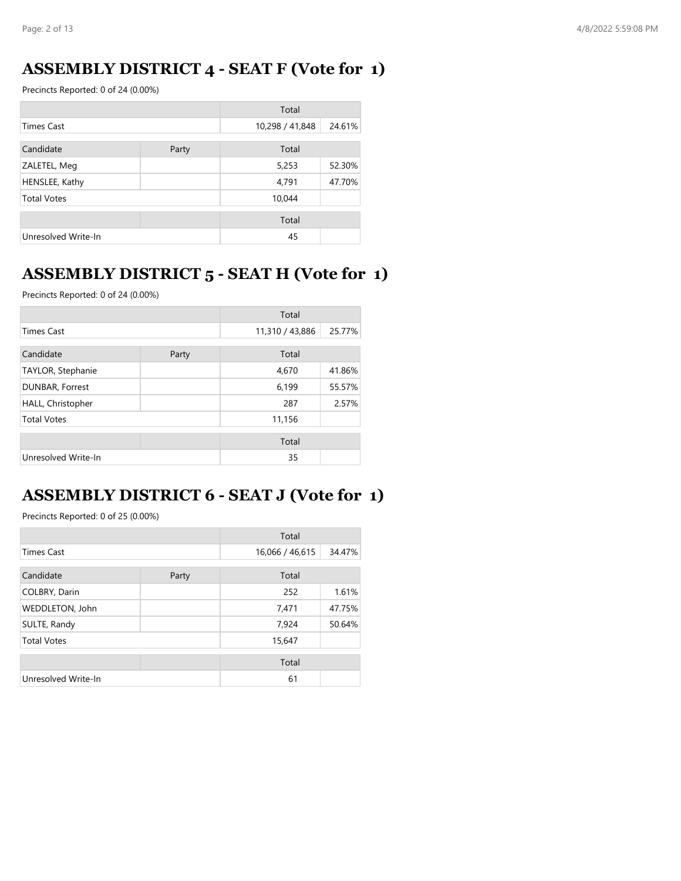### **ASSEMBLY DISTRICT 4 - SEAT F (Vote for 1)**

Precincts Reported: 0 of 24 (0.00%)

|                     |       | Total           |        |
|---------------------|-------|-----------------|--------|
| <b>Times Cast</b>   |       | 10,298 / 41,848 | 24.61% |
| Candidate           | Party | Total           |        |
| ZALETEL, Meg        |       | 5,253           | 52.30% |
| HENSLEE, Kathy      |       | 4,791           | 47.70% |
| <b>Total Votes</b>  |       | 10,044          |        |
|                     |       | Total           |        |
| Unresolved Write-In |       | 45              |        |

# **ASSEMBLY DISTRICT 5 - SEAT H (Vote for 1)**

Precincts Reported: 0 of 24 (0.00%)

|                     |       | Total           |        |
|---------------------|-------|-----------------|--------|
| <b>Times Cast</b>   |       | 11,310 / 43,886 | 25.77% |
| Candidate           | Party | Total           |        |
| TAYLOR, Stephanie   |       | 4,670           | 41.86% |
| DUNBAR, Forrest     |       | 6,199           | 55.57% |
| HALL, Christopher   |       | 287             | 2.57%  |
| <b>Total Votes</b>  |       | 11,156          |        |
|                     |       | Total           |        |
| Unresolved Write-In |       | 35              |        |

### **ASSEMBLY DISTRICT 6 - SEAT J (Vote for 1)**

|                     |       | Total           |        |
|---------------------|-------|-----------------|--------|
| <b>Times Cast</b>   |       | 16,066 / 46,615 | 34.47% |
| Candidate           | Party | Total           |        |
| COLBRY, Darin       |       | 252             | 1.61%  |
| WEDDLETON, John     |       | 7,471           | 47.75% |
| SULTE, Randy        |       | 7,924           | 50.64% |
| <b>Total Votes</b>  |       | 15,647          |        |
|                     |       | Total           |        |
| Unresolved Write-In |       | 61              |        |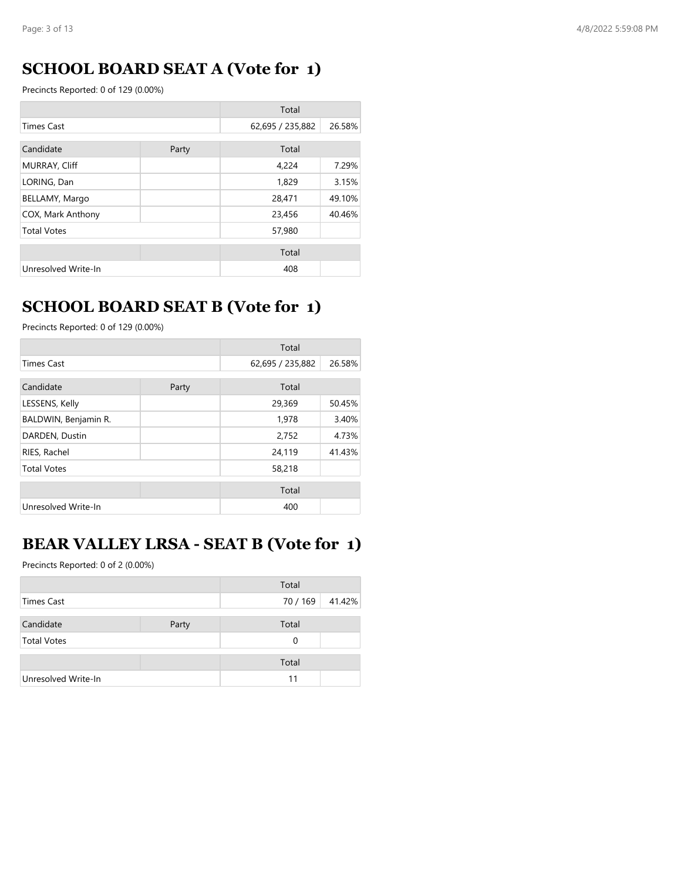# **SCHOOL BOARD SEAT A (Vote for 1)**

Precincts Reported: 0 of 129 (0.00%)

| Total               |       |                  |        |
|---------------------|-------|------------------|--------|
| <b>Times Cast</b>   |       | 62,695 / 235,882 | 26.58% |
| Candidate           | Party | Total            |        |
| MURRAY, Cliff       |       | 4,224            | 7.29%  |
| LORING, Dan         |       | 1,829            | 3.15%  |
| BELLAMY, Margo      |       | 28,471           | 49.10% |
| COX, Mark Anthony   |       | 23,456           | 40.46% |
| <b>Total Votes</b>  |       | 57,980           |        |
|                     |       | Total            |        |
| Unresolved Write-In |       | 408              |        |

#### **SCHOOL BOARD SEAT B (Vote for 1)**

Precincts Reported: 0 of 129 (0.00%)

|                      |       | Total            |        |
|----------------------|-------|------------------|--------|
| <b>Times Cast</b>    |       | 62,695 / 235,882 | 26.58% |
| Candidate            | Party | Total            |        |
| LESSENS, Kelly       |       | 29,369           | 50.45% |
| BALDWIN, Benjamin R. |       | 1,978            | 3.40%  |
| DARDEN, Dustin       |       | 2,752            | 4.73%  |
| RIES, Rachel         |       | 24,119           | 41.43% |
| <b>Total Votes</b>   |       | 58,218           |        |
|                      |       | Total            |        |
| Unresolved Write-In  |       | 400              |        |

#### **BEAR VALLEY LRSA - SEAT B (Vote for 1)**

|                     |       | Total    |        |
|---------------------|-------|----------|--------|
| Times Cast          |       | 70 / 169 | 41.42% |
|                     |       |          |        |
| Candidate           | Party | Total    |        |
| <b>Total Votes</b>  |       | $\Omega$ |        |
|                     |       | Total    |        |
| Unresolved Write-In |       | 11       |        |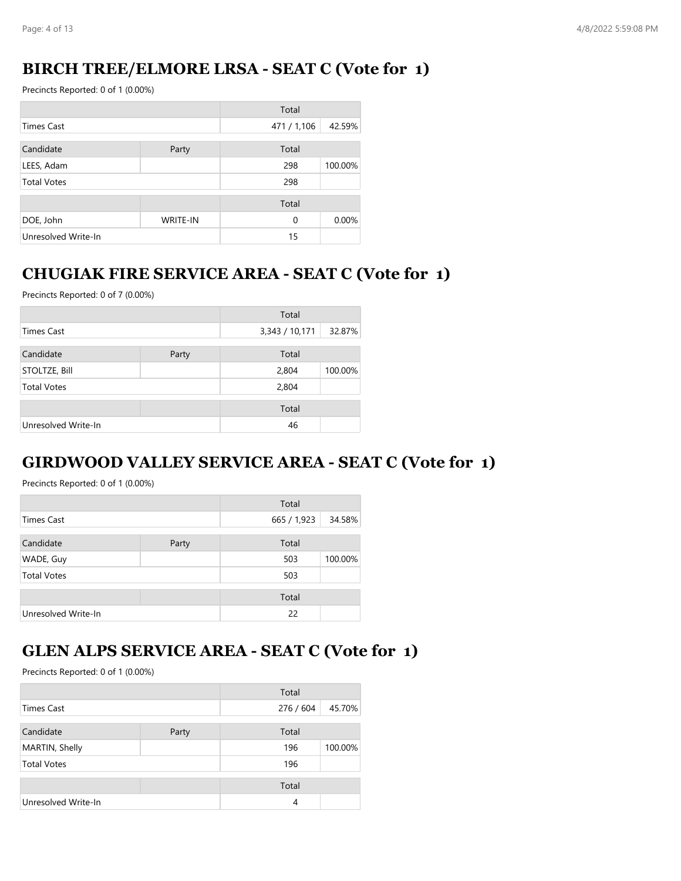### **BIRCH TREE/ELMORE LRSA - SEAT C (Vote for 1)**

Precincts Reported: 0 of 1 (0.00%)

|                     |                 | Total       |         |
|---------------------|-----------------|-------------|---------|
| <b>Times Cast</b>   |                 | 471 / 1,106 | 42.59%  |
| Candidate           | Party           | Total       |         |
| LEES, Adam          |                 | 298         | 100.00% |
| <b>Total Votes</b>  |                 | 298         |         |
|                     |                 | Total       |         |
| DOE, John           | <b>WRITE-IN</b> | $\Omega$    | 0.00%   |
| Unresolved Write-In |                 | 15          |         |

### **CHUGIAK FIRE SERVICE AREA - SEAT C (Vote for 1)**

Precincts Reported: 0 of 7 (0.00%)

|                      |       | Total          |         |
|----------------------|-------|----------------|---------|
| <b>Times Cast</b>    |       | 3,343 / 10,171 | 32.87%  |
| Candidate            | Party | Total          |         |
| <b>STOLTZE, Bill</b> |       | 2,804          | 100.00% |
| <b>Total Votes</b>   |       | 2,804          |         |
|                      |       | Total          |         |
| Unresolved Write-In  |       | 46             |         |

### **GIRDWOOD VALLEY SERVICE AREA - SEAT C (Vote for 1)**

Precincts Reported: 0 of 1 (0.00%)

|                     |       | Total       |         |
|---------------------|-------|-------------|---------|
| <b>Times Cast</b>   |       | 665 / 1,923 | 34.58%  |
| Candidate           | Party | Total       |         |
| WADE, Guy           |       | 503         | 100.00% |
| <b>Total Votes</b>  |       | 503         |         |
|                     |       | Total       |         |
| Unresolved Write-In |       | 22          |         |

#### **GLEN ALPS SERVICE AREA - SEAT C (Vote for 1)**

|                     |       | Total     |         |
|---------------------|-------|-----------|---------|
| <b>Times Cast</b>   |       | 276 / 604 | 45.70%  |
| Candidate           | Party | Total     |         |
| MARTIN, Shelly      |       | 196       | 100.00% |
| <b>Total Votes</b>  |       | 196       |         |
|                     |       | Total     |         |
| Unresolved Write-In |       | 4         |         |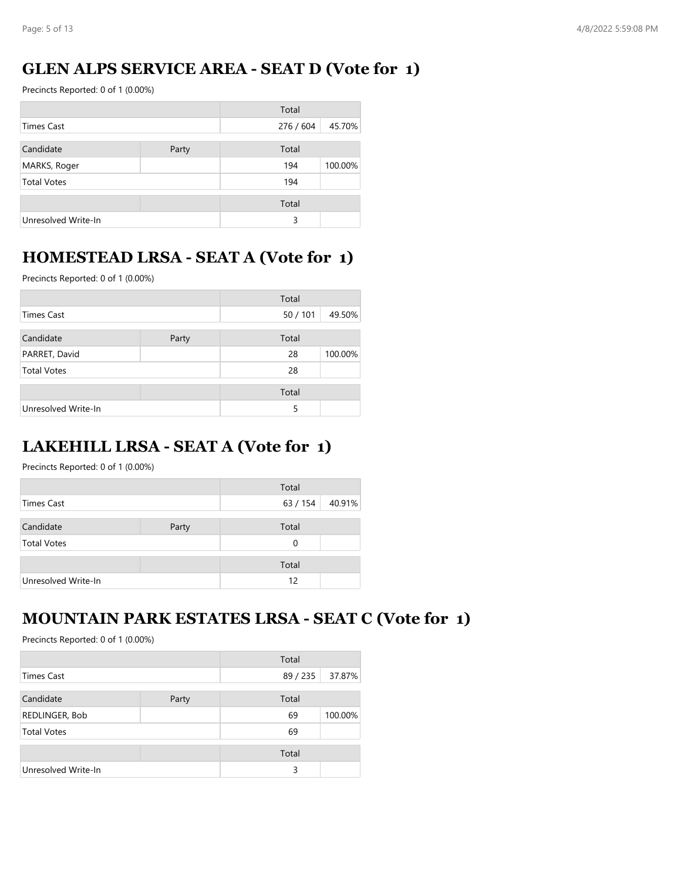# **GLEN ALPS SERVICE AREA - SEAT D (Vote for 1)**

Precincts Reported: 0 of 1 (0.00%)

|                     |       | Total     |         |
|---------------------|-------|-----------|---------|
| Times Cast          |       | 276 / 604 | 45.70%  |
| Candidate           | Party | Total     |         |
| MARKS, Roger        |       | 194       | 100.00% |
| <b>Total Votes</b>  |       | 194       |         |
|                     |       | Total     |         |
| Unresolved Write-In |       | 3         |         |

# **HOMESTEAD LRSA - SEAT A (Vote for 1)**

Precincts Reported: 0 of 1 (0.00%)

|                     |       | Total  |         |
|---------------------|-------|--------|---------|
| <b>Times Cast</b>   |       | 50/101 | 49.50%  |
| Candidate           | Party | Total  |         |
| PARRET, David       |       | 28     | 100.00% |
| <b>Total Votes</b>  |       | 28     |         |
|                     |       | Total  |         |
| Unresolved Write-In |       | 5      |         |

### **LAKEHILL LRSA - SEAT A (Vote for 1)**

Precincts Reported: 0 of 1 (0.00%)

|                     |       | Total    |        |
|---------------------|-------|----------|--------|
| Times Cast          |       | 63 / 154 | 40.91% |
|                     |       |          |        |
| Candidate           | Party | Total    |        |
| <b>Total Votes</b>  |       | 0        |        |
|                     |       | Total    |        |
|                     |       |          |        |
| Unresolved Write-In |       | 12       |        |

#### **MOUNTAIN PARK ESTATES LRSA - SEAT C (Vote for 1)**

|                     |       | Total  |         |
|---------------------|-------|--------|---------|
| Times Cast          |       | 89/235 | 37.87%  |
| Candidate           | Party | Total  |         |
| REDLINGER, Bob      |       | 69     | 100.00% |
| <b>Total Votes</b>  |       | 69     |         |
|                     |       | Total  |         |
| Unresolved Write-In |       | 3      |         |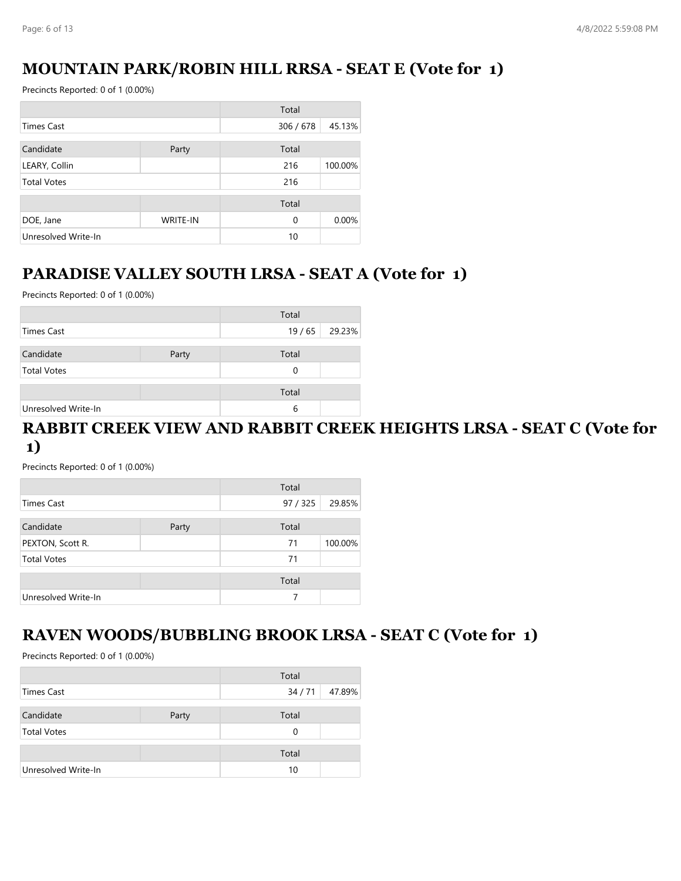# **MOUNTAIN PARK/ROBIN HILL RRSA - SEAT E (Vote for 1)**

Precincts Reported: 0 of 1 (0.00%)

|                     |                 | Total     |         |
|---------------------|-----------------|-----------|---------|
| Times Cast          |                 | 306 / 678 | 45.13%  |
| Candidate           | Party           | Total     |         |
| LEARY, Collin       |                 | 216       | 100.00% |
| <b>Total Votes</b>  |                 | 216       |         |
|                     |                 | Total     |         |
| DOE, Jane           | <b>WRITE-IN</b> | $\Omega$  | 0.00%   |
| Unresolved Write-In |                 | 10        |         |

### **PARADISE VALLEY SOUTH LRSA - SEAT A (Vote for 1)**

Precincts Reported: 0 of 1 (0.00%)

|                     |       | Total |        |
|---------------------|-------|-------|--------|
| Times Cast          |       | 19/65 | 29.23% |
| Candidate           | Party | Total |        |
| <b>Total Votes</b>  |       | 0     |        |
|                     |       | Total |        |
| Unresolved Write-In |       | 6     |        |

#### **RABBIT CREEK VIEW AND RABBIT CREEK HEIGHTS LRSA - SEAT C (Vote for 1)**

Precincts Reported: 0 of 1 (0.00%)

| Total               |       |          |         |
|---------------------|-------|----------|---------|
| Times Cast          |       | 97 / 325 | 29.85%  |
| Candidate           | Party | Total    |         |
| PEXTON, Scott R.    |       | 71       | 100.00% |
| <b>Total Votes</b>  |       | 71       |         |
|                     |       | Total    |         |
| Unresolved Write-In |       | 7        |         |

#### **RAVEN WOODS/BUBBLING BROOK LRSA - SEAT C (Vote for 1)**

|                     |       | Total |        |
|---------------------|-------|-------|--------|
| Times Cast          |       | 34/71 | 47.89% |
| Candidate           | Party | Total |        |
| <b>Total Votes</b>  |       | 0     |        |
|                     |       | Total |        |
| Unresolved Write-In |       | 10    |        |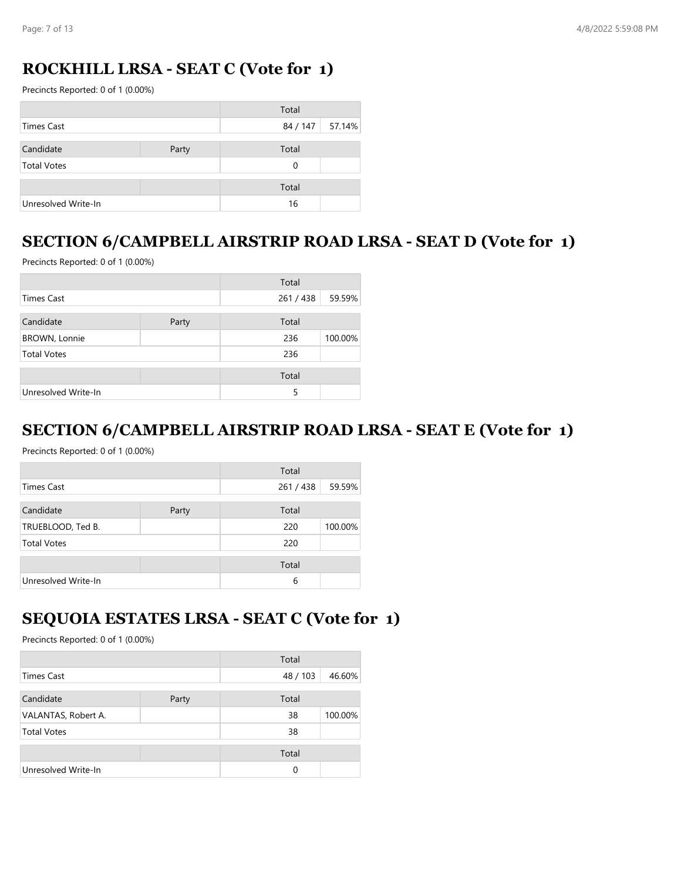# **ROCKHILL LRSA - SEAT C (Vote for 1)**

Precincts Reported: 0 of 1 (0.00%)

|                     |       | Total             |  |
|---------------------|-------|-------------------|--|
| Times Cast          |       | 84 / 147   57.14% |  |
| Candidate           | Party | Total             |  |
| <b>Total Votes</b>  |       | 0                 |  |
|                     |       | Total             |  |
| Unresolved Write-In |       | 16                |  |

# **SECTION 6/CAMPBELL AIRSTRIP ROAD LRSA - SEAT D (Vote for 1)**

Precincts Reported: 0 of 1 (0.00%)

|                      |       | Total   |         |
|----------------------|-------|---------|---------|
| Times Cast           |       | 261/438 | 59.59%  |
| Candidate            | Party | Total   |         |
| <b>BROWN, Lonnie</b> |       | 236     | 100.00% |
| <b>Total Votes</b>   |       | 236     |         |
|                      |       | Total   |         |
| Unresolved Write-In  |       | 5       |         |

#### **SECTION 6/CAMPBELL AIRSTRIP ROAD LRSA - SEAT E (Vote for 1)**

Precincts Reported: 0 of 1 (0.00%)

|                     |       | Total   |         |
|---------------------|-------|---------|---------|
| <b>Times Cast</b>   |       | 261/438 | 59.59%  |
| Candidate           | Party | Total   |         |
| TRUEBLOOD, Ted B.   |       | 220     | 100.00% |
| <b>Total Votes</b>  |       | 220     |         |
|                     |       | Total   |         |
| Unresolved Write-In |       | 6       |         |

### **SEQUOIA ESTATES LRSA - SEAT C (Vote for 1)**

|                     |       | Total    |         |
|---------------------|-------|----------|---------|
| Times Cast          |       | 48/103   | 46.60%  |
| Candidate           | Party | Total    |         |
| VALANTAS, Robert A. |       | 38       | 100.00% |
| <b>Total Votes</b>  |       | 38       |         |
|                     |       | Total    |         |
| Unresolved Write-In |       | $\Omega$ |         |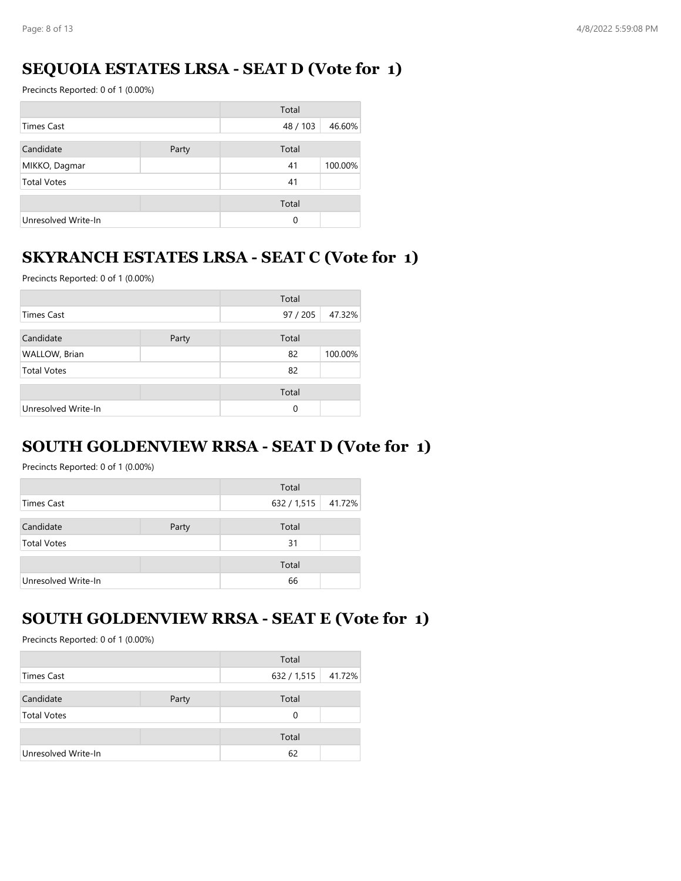### **SEQUOIA ESTATES LRSA - SEAT D (Vote for 1)**

Precincts Reported: 0 of 1 (0.00%)

|                     |       | Total    |         |
|---------------------|-------|----------|---------|
| <b>Times Cast</b>   |       | 48 / 103 | 46.60%  |
| Candidate           | Party | Total    |         |
| MIKKO, Dagmar       |       | 41       | 100.00% |
| <b>Total Votes</b>  |       | 41       |         |
|                     |       | Total    |         |
| Unresolved Write-In |       | 0        |         |

### **SKYRANCH ESTATES LRSA - SEAT C (Vote for 1)**

Precincts Reported: 0 of 1 (0.00%)

|                     |       | Total    |         |
|---------------------|-------|----------|---------|
| Times Cast          |       | 97 / 205 | 47.32%  |
| Candidate           | Party | Total    |         |
| WALLOW, Brian       |       | 82       | 100.00% |
| <b>Total Votes</b>  |       | 82       |         |
|                     |       | Total    |         |
| Unresolved Write-In |       | $\Omega$ |         |

#### **SOUTH GOLDENVIEW RRSA - SEAT D (Vote for 1)**

Precincts Reported: 0 of 1 (0.00%)

|                     |       | Total       |        |
|---------------------|-------|-------------|--------|
| Times Cast          |       | 632 / 1,515 | 41.72% |
| Candidate           | Party | Total       |        |
| <b>Total Votes</b>  |       | 31          |        |
|                     |       | Total       |        |
| Unresolved Write-In |       | 66          |        |

#### **SOUTH GOLDENVIEW RRSA - SEAT E (Vote for 1)**

|                     |       | Total              |  |
|---------------------|-------|--------------------|--|
| Times Cast          |       | 632 / 1,515 41.72% |  |
| Candidate           | Party | Total              |  |
| <b>Total Votes</b>  |       | 0                  |  |
|                     |       | Total              |  |
| Unresolved Write-In |       | 62                 |  |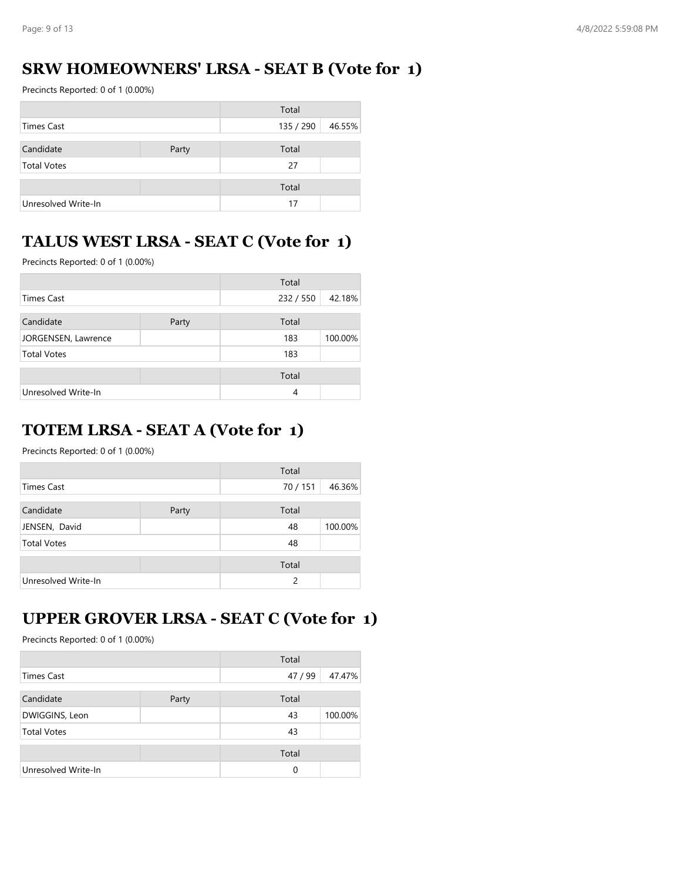### **SRW HOMEOWNERS' LRSA - SEAT B (Vote for 1)**

Precincts Reported: 0 of 1 (0.00%)

|                     |       | Total     |        |
|---------------------|-------|-----------|--------|
| <b>Times Cast</b>   |       | 135 / 290 | 46.55% |
| Candidate           | Party | Total     |        |
| <b>Total Votes</b>  |       | 27        |        |
|                     |       | Total     |        |
| Unresolved Write-In |       | 17        |        |

# **TALUS WEST LRSA - SEAT C (Vote for 1)**

Precincts Reported: 0 of 1 (0.00%)

|                     |       | Total   |         |
|---------------------|-------|---------|---------|
| <b>Times Cast</b>   |       | 232/550 | 42.18%  |
| Candidate           | Party | Total   |         |
| JORGENSEN, Lawrence |       | 183     | 100.00% |
| <b>Total Votes</b>  |       | 183     |         |
|                     |       | Total   |         |
| Unresolved Write-In |       | 4       |         |

### **TOTEM LRSA - SEAT A (Vote for 1)**

Precincts Reported: 0 of 1 (0.00%)

|                     |       | Total         |         |
|---------------------|-------|---------------|---------|
| <b>Times Cast</b>   |       | 70/151        | 46.36%  |
| Candidate           | Party | Total         |         |
| JENSEN, David       |       | 48            | 100.00% |
| <b>Total Votes</b>  |       | 48            |         |
|                     |       | Total         |         |
| Unresolved Write-In |       | $\mathcal{P}$ |         |

### **UPPER GROVER LRSA - SEAT C (Vote for 1)**

|                     |       | Total    |         |
|---------------------|-------|----------|---------|
| <b>Times Cast</b>   |       | 47/99    | 47.47%  |
| Candidate           | Party | Total    |         |
| DWIGGINS, Leon      |       | 43       | 100.00% |
| <b>Total Votes</b>  |       | 43       |         |
|                     |       | Total    |         |
| Unresolved Write-In |       | $\Omega$ |         |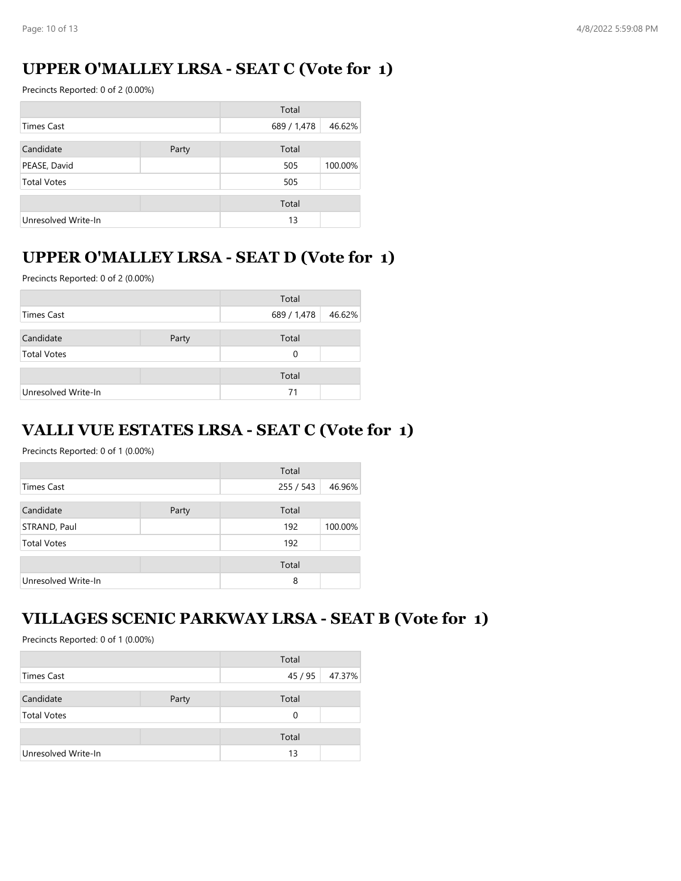### **UPPER O'MALLEY LRSA - SEAT C (Vote for 1)**

Precincts Reported: 0 of 2 (0.00%)

|                     |       | Total       |         |
|---------------------|-------|-------------|---------|
| Times Cast          |       | 689 / 1,478 | 46.62%  |
| Candidate           | Party | Total       |         |
| PEASE, David        |       | 505         | 100.00% |
| <b>Total Votes</b>  |       | 505         |         |
|                     |       | Total       |         |
| Unresolved Write-In |       | 13          |         |

### **UPPER O'MALLEY LRSA - SEAT D (Vote for 1)**

Precincts Reported: 0 of 2 (0.00%)

|                     |       | Total       |        |
|---------------------|-------|-------------|--------|
| Times Cast          |       | 689 / 1,478 | 46.62% |
| Candidate           | Party | Total       |        |
| <b>Total Votes</b>  |       | 0           |        |
|                     |       | Total       |        |
| Unresolved Write-In |       | 71          |        |

#### **VALLI VUE ESTATES LRSA - SEAT C (Vote for 1)**

Precincts Reported: 0 of 1 (0.00%)

|                     |       | Total     |         |
|---------------------|-------|-----------|---------|
| <b>Times Cast</b>   |       | 255 / 543 | 46.96%  |
| Candidate           | Party | Total     |         |
| STRAND, Paul        |       | 192       | 100.00% |
| <b>Total Votes</b>  |       | 192       |         |
|                     |       | Total     |         |
| Unresolved Write-In |       | 8         |         |

#### **VILLAGES SCENIC PARKWAY LRSA - SEAT B (Vote for 1)**

|                     |       | Total |                |
|---------------------|-------|-------|----------------|
| Times Cast          |       |       | 45 / 95 47.37% |
| Candidate           | Party | Total |                |
| <b>Total Votes</b>  |       | 0     |                |
|                     |       | Total |                |
| Unresolved Write-In |       | 13    |                |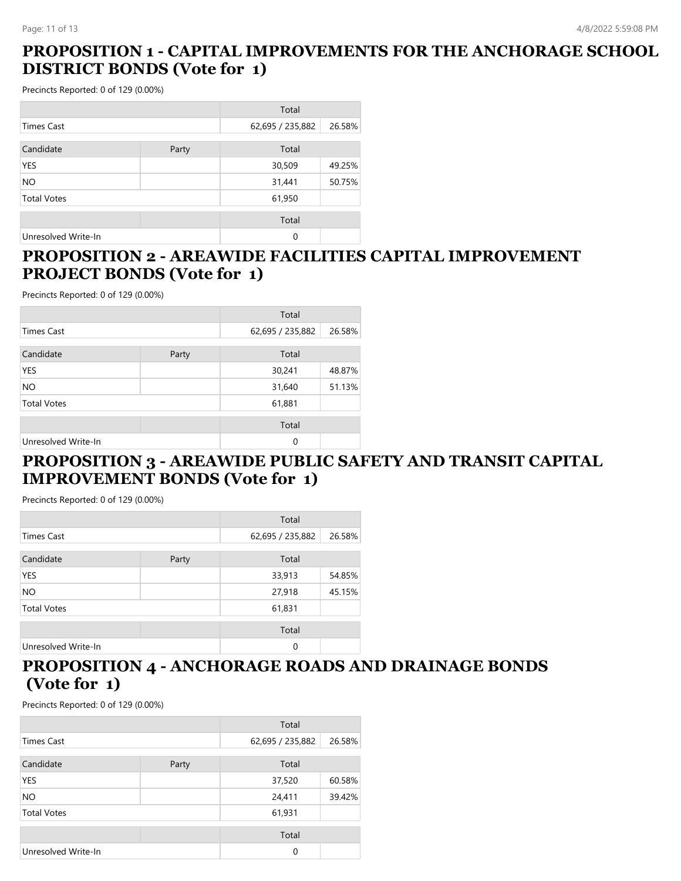### **PROPOSITION 1 - CAPITAL IMPROVEMENTS FOR THE ANCHORAGE SCHOOL DISTRICT BONDS (Vote for 1)**

Precincts Reported: 0 of 129 (0.00%)

|                     |       | Total            |        |
|---------------------|-------|------------------|--------|
| <b>Times Cast</b>   |       | 62,695 / 235,882 | 26.58% |
| Candidate           | Party | Total            |        |
| <b>YES</b>          |       | 30,509           | 49.25% |
| NO.                 |       | 31,441           | 50.75% |
| <b>Total Votes</b>  |       | 61,950           |        |
|                     |       | Total            |        |
| Unresolved Write-In |       | 0                |        |

#### **PROPOSITION 2 - AREAWIDE FACILITIES CAPITAL IMPROVEMENT PROJECT BONDS (Vote for 1)**

Precincts Reported: 0 of 129 (0.00%)

|                     |       | Total            |        |
|---------------------|-------|------------------|--------|
| <b>Times Cast</b>   |       | 62,695 / 235,882 | 26.58% |
| Candidate           | Party | Total            |        |
| <b>YES</b>          |       | 30,241           | 48.87% |
| NO.                 |       | 31,640           | 51.13% |
| <b>Total Votes</b>  |       | 61,881           |        |
|                     |       | Total            |        |
| Unresolved Write-In |       | $\Omega$         |        |

### **PROPOSITION 3 - AREAWIDE PUBLIC SAFETY AND TRANSIT CAPITAL IMPROVEMENT BONDS (Vote for 1)**

Precincts Reported: 0 of 129 (0.00%)

| Total               |       |                  |        |
|---------------------|-------|------------------|--------|
| <b>Times Cast</b>   |       | 62,695 / 235,882 | 26.58% |
| Candidate           | Party | Total            |        |
| <b>YES</b>          |       | 33,913           | 54.85% |
| NO.                 |       | 27,918           | 45.15% |
| <b>Total Votes</b>  |       | 61,831           |        |
|                     |       | Total            |        |
| Unresolved Write-In |       | 0                |        |

### **PROPOSITION 4 - ANCHORAGE ROADS AND DRAINAGE BONDS (Vote for 1)**

|                     |       | Total            |        |
|---------------------|-------|------------------|--------|
| <b>Times Cast</b>   |       | 62,695 / 235,882 | 26.58% |
| Candidate           | Party | Total            |        |
| <b>YES</b>          |       | 37,520           | 60.58% |
| NO.                 |       | 24,411           | 39.42% |
| <b>Total Votes</b>  |       | 61,931           |        |
|                     |       | Total            |        |
| Unresolved Write-In |       | 0                |        |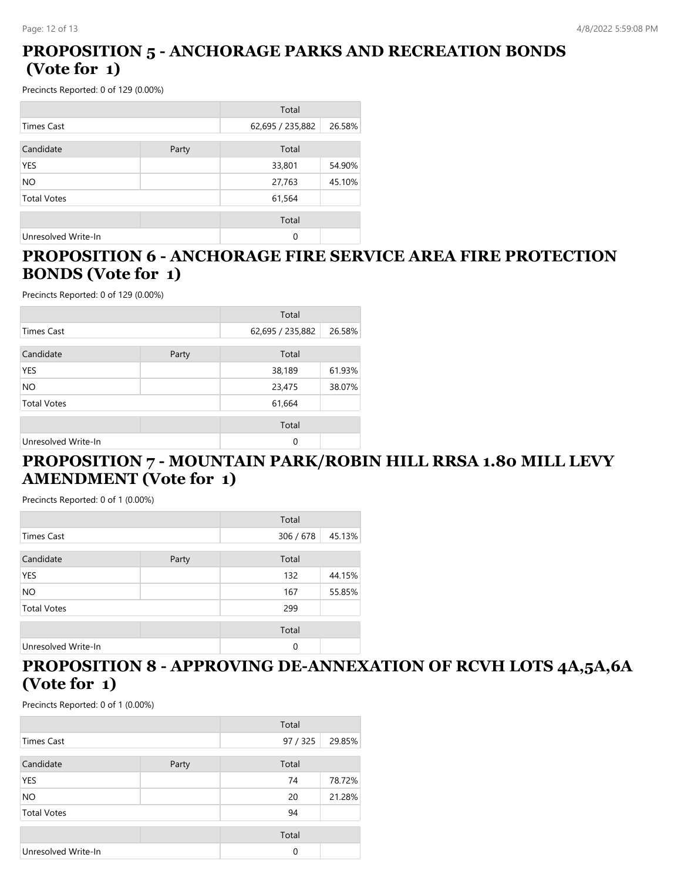### **PROPOSITION 5 - ANCHORAGE PARKS AND RECREATION BONDS (Vote for 1)**

Precincts Reported: 0 of 129 (0.00%)

|                     |       | Total            |        |
|---------------------|-------|------------------|--------|
| Times Cast          |       | 62,695 / 235,882 | 26.58% |
| Candidate           | Party | Total            |        |
| <b>YES</b>          |       | 33,801           | 54.90% |
| NO.                 |       | 27,763           | 45.10% |
| <b>Total Votes</b>  |       | 61,564           |        |
|                     |       | Total            |        |
| Unresolved Write-In |       | 0                |        |

#### **PROPOSITION 6 - ANCHORAGE FIRE SERVICE AREA FIRE PROTECTION BONDS (Vote for 1)**

Precincts Reported: 0 of 129 (0.00%)

|                     |       | Total            |        |
|---------------------|-------|------------------|--------|
| <b>Times Cast</b>   |       | 62,695 / 235,882 | 26.58% |
| Candidate           | Party | Total            |        |
| <b>YES</b>          |       | 38,189           | 61.93% |
| NO.                 |       | 23,475           | 38.07% |
| <b>Total Votes</b>  |       | 61,664           |        |
|                     |       | Total            |        |
| Unresolved Write-In |       | $\Omega$         |        |

### **PROPOSITION 7 - MOUNTAIN PARK/ROBIN HILL RRSA 1.80 MILL LEVY AMENDMENT (Vote for 1)**

Precincts Reported: 0 of 1 (0.00%)

|                     |       | Total     |        |
|---------------------|-------|-----------|--------|
| <b>Times Cast</b>   |       | 306 / 678 | 45.13% |
| Candidate           | Party | Total     |        |
| YES                 |       | 132       | 44.15% |
| <b>NO</b>           |       | 167       | 55.85% |
| <b>Total Votes</b>  |       | 299       |        |
|                     |       | Total     |        |
| Unresolved Write-In |       | 0         |        |

### **PROPOSITION 8 - APPROVING DE-ANNEXATION OF RCVH LOTS 4A,5A,6A (Vote for 1)**

|                     |       | Total    |        |
|---------------------|-------|----------|--------|
| <b>Times Cast</b>   |       | 97 / 325 | 29.85% |
| Candidate           | Party | Total    |        |
| YES                 |       | 74       | 78.72% |
| <b>NO</b>           |       | 20       | 21.28% |
| <b>Total Votes</b>  |       | 94       |        |
|                     |       | Total    |        |
| Unresolved Write-In |       | $\Omega$ |        |